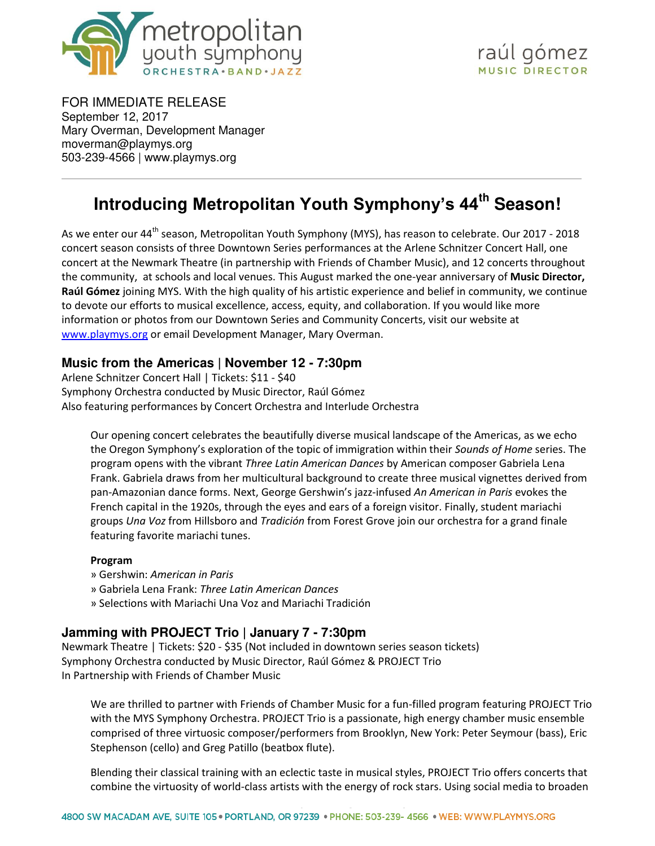

FOR IMMEDIATE RELEASE September 12, 2017 Mary Overman, Development Manager [moverman@playmys.org](mailto:moverman@playmys.org)  503-239-4566 |<www.playmys.org>

l

# **Introducing Metropolitan Youth Symphony's 44th Season!**

As we enter our 44<sup>th</sup> season, Metropolitan Youth Symphony (MYS), has reason to celebrate. Our 2017 - 2018 concert season consists of three Downtown Series performances at the Arlene Schnitzer Concert Hall, one concert at the Newmark Theatre (in partnership with Friends of Chamber Music), and 12 concerts throughout the community, at schools and local venues. This August marked the one-year anniversary of **Music Director, Raúl Gómez** joining MYS. With the high quality of his artistic experience and belief in community, we continue to devote our efforts to musical excellence, access, equity, and collaboration. If you would like more information or photos from our Downtown Series and Community Concerts, visit our website at [www.playmys.org](https://playmys.org/concerts-and-performances/) or email [Development Manager, Mary Overman.](mailto:moverman@playmys.org)

# **Music from the Americas | November 12 - 7:30pm**

Arlene Schnitzer Concert Hall | Tickets: \$11 - \$40 Symphony Orchestra conducted by Music Director, Raúl Gómez Also featuring performances by Concert Orchestra and Interlude Orchestra

Our opening concert celebrates the beautifully diverse musical landscape of the Americas, as we echo the Oregon Symphony's exploration of the topic of immigration within their *Sounds of Home* series. The program opens with the vibrant *Three Latin American Dances* by American composer Gabriela Lena Frank. Gabriela draws from her multicultural background to create three musical vignettes derived from pan-Amazonian dance forms. Next, George Gershwin's jazz-infused *An American in Paris* evokes the French capital in the 1920s, through the eyes and ears of a foreign visitor. Finally, student mariachi groups *Una Voz* from Hillsboro and *Tradición* from Forest Grove join our orchestra for a grand finale featuring favorite mariachi tunes.

#### **Program**

- » Gershwin: *American in Paris*
- » Gabriela Lena Frank: *Three Latin American Dances*
- » Selections with Mariachi Una Voz and Mariachi Tradición

# **Jamming with PROJECT Trio | January 7 - 7:30pm**

Newmark Theatre | Tickets: \$20 - \$35 (Not included in downtown series season tickets) Symphony Orchestra conducted by Music Director, Raúl Gómez & PROJECT Trio In Partnership with Friends of Chamber Music

We are thrilled to partner with Friends of Chamber Music for a fun-filled program featuring PROJECT Trio with the MYS Symphony Orchestra. PROJECT Trio is a passionate, high energy chamber music ensemble comprised of three virtuosic composer/performers from Brooklyn, New York: Peter Seymour (bass), Eric Stephenson (cello) and Greg Patillo (beatbox flute).

Blending their classical training with an eclectic taste in musical styles, PROJECT Trio offers concerts that combine the virtuosity of world-class artists with the energy of rock stars. Using social media to broaden